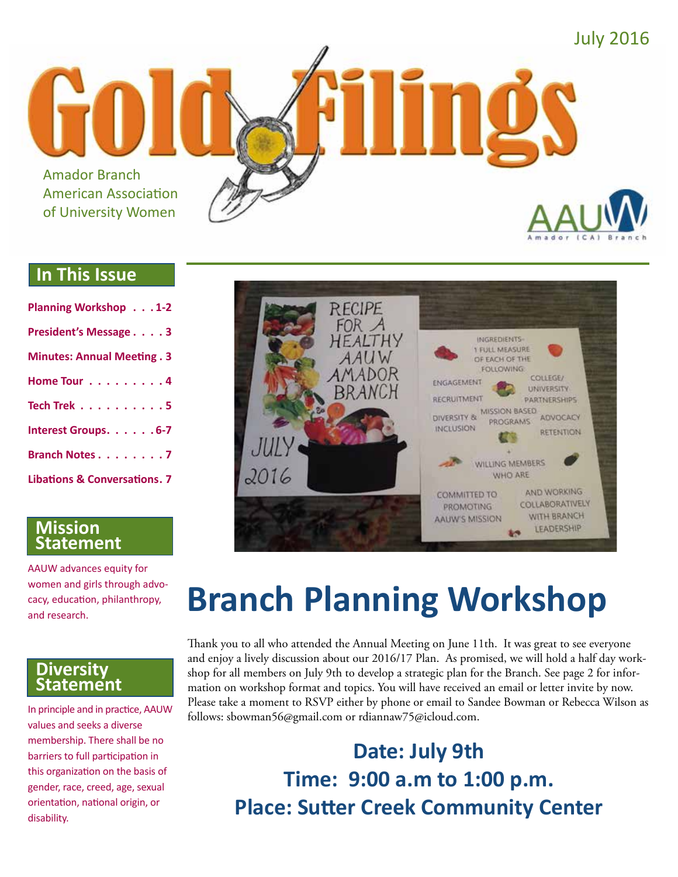

### **In This Issue**

| <b>Planning Workshop 1-2</b>            |
|-----------------------------------------|
| President's Message 3                   |
| <b>Minutes: Annual Meeting. 3</b>       |
| Home Tour 4                             |
| Tech Trek $\ldots$ 5                    |
| Interest Groups. 6-7                    |
| Branch Notes 7                          |
| <b>Libations &amp; Conversations. 7</b> |

#### **Mission Statement**

AAUW advances equity for women and girls through advocacy, education, philanthropy, and research.

#### **Diversity Statement**

In principle and in practice, AAUW values and seeks a diverse membership. There shall be no barriers to full participation in this organization on the basis of gender, race, creed, age, sexual orientation, national origin, or disability.



# **Branch Planning Workshop**

Thank you to all who attended the Annual Meeting on June 11th. It was great to see everyone and enjoy a lively discussion about our 2016/17 Plan. As promised, we will hold a half day workshop for all members on July 9th to develop a strategic plan for the Branch. See page 2 for information on workshop format and topics. You will have received an email or letter invite by now. Please take a moment to RSVP either by phone or email to Sandee Bowman or Rebecca Wilson as follows: sbowman56@gmail.com or rdiannaw75@icloud.com.

> **Date: July 9th Time: 9:00 a.m to 1:00 p.m. Place: Sutter Creek Community Center**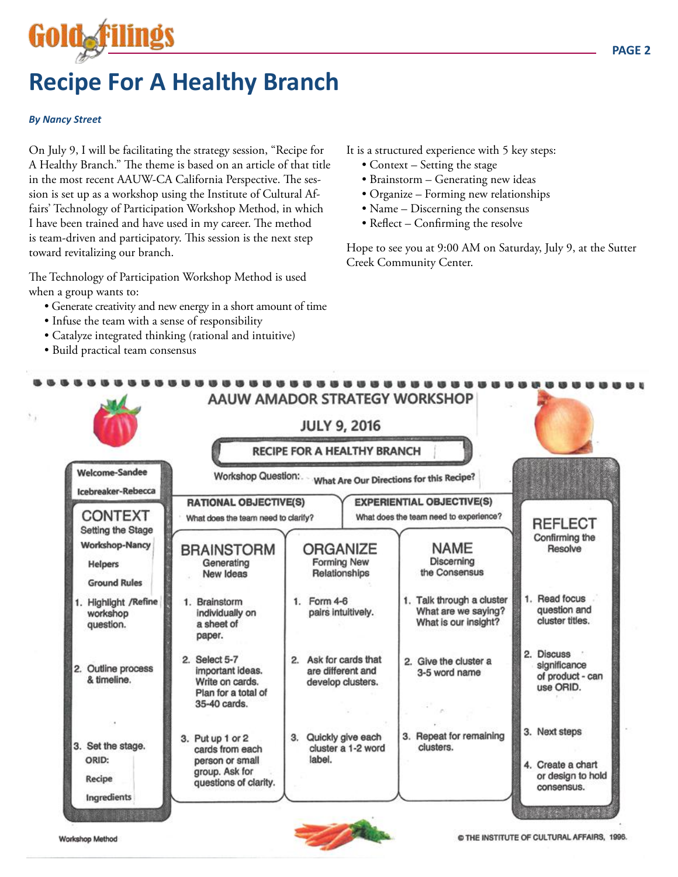## **Recipe For A Healthy Branch**

#### *By Nancy Street*

Gold<sub>e</sub>filings

On July 9, I will be facilitating the strategy session, "Recipe for A Healthy Branch." The theme is based on an article of that title in the most recent AAUW-CA California Perspective. The session is set up as a workshop using the Institute of Cultural Affairs' Technology of Participation Workshop Method, in which I have been trained and have used in my career. The method is team-driven and participatory. This session is the next step toward revitalizing our branch.

The Technology of Participation Workshop Method is used when a group wants to:

- Generate creativity and new energy in a short amount of time
- Infuse the team with a sense of responsibility
- Catalyze integrated thinking (rational and intuitive)
- Build practical team consensus

It is a structured experience with 5 key steps:

- Context Setting the stage
- Brainstorm Generating new ideas
- Organize Forming new relationships
- Name Discerning the consensus
- Reflect Confirming the resolve

Hope to see you at 9:00 AM on Saturday, July 9, at the Sutter Creek Community Center.





Workshop Method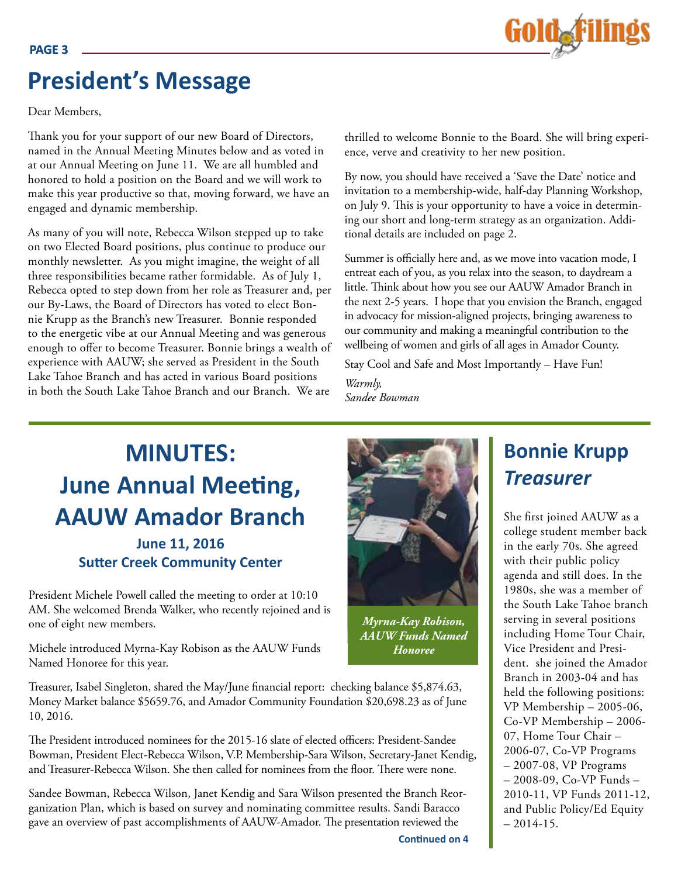## **President's Message**

Dear Members,

Thank you for your support of our new Board of Directors, named in the Annual Meeting Minutes below and as voted in at our Annual Meeting on June 11. We are all humbled and honored to hold a position on the Board and we will work to make this year productive so that, moving forward, we have an engaged and dynamic membership.

As many of you will note, Rebecca Wilson stepped up to take on two Elected Board positions, plus continue to produce our monthly newsletter. As you might imagine, the weight of all three responsibilities became rather formidable. As of July 1, Rebecca opted to step down from her role as Treasurer and, per our By-Laws, the Board of Directors has voted to elect Bonnie Krupp as the Branch's new Treasurer. Bonnie responded to the energetic vibe at our Annual Meeting and was generous enough to offer to become Treasurer. Bonnie brings a wealth of experience with AAUW; she served as President in the South Lake Tahoe Branch and has acted in various Board positions in both the South Lake Tahoe Branch and our Branch. We are

thrilled to welcome Bonnie to the Board. She will bring experience, verve and creativity to her new position.

By now, you should have received a 'Save the Date' notice and invitation to a membership-wide, half-day Planning Workshop, on July 9. This is your opportunity to have a voice in determining our short and long-term strategy as an organization. Additional details are included on page 2.

Summer is officially here and, as we move into vacation mode, I entreat each of you, as you relax into the season, to daydream a little. Think about how you see our AAUW Amador Branch in the next 2-5 years. I hope that you envision the Branch, engaged in advocacy for mission-aligned projects, bringing awareness to our community and making a meaningful contribution to the wellbeing of women and girls of all ages in Amador County.

Stay Cool and Safe and Most Importantly – Have Fun!

*Warmly, Sandee Bowman*

## **MINUTES: June Annual Meeting, AAUW Amador Branch**

#### **June 11, 2016 Sutter Creek Community Center**

President Michele Powell called the meeting to order at 10:10 AM. She welcomed Brenda Walker, who recently rejoined and is one of eight new members.

Michele introduced Myrna-Kay Robison as the AAUW Funds Named Honoree for this year.

Treasurer, Isabel Singleton, shared the May/June financial report: checking balance \$5,874.63, Money Market balance \$5659.76, and Amador Community Foundation \$20,698.23 as of June 10, 2016.

The President introduced nominees for the 2015-16 slate of elected officers: President-Sandee Bowman, President Elect-Rebecca Wilson, V.P. Membership-Sara Wilson, Secretary-Janet Kendig, and Treasurer-Rebecca Wilson. She then called for nominees from the floor. There were none.

Sandee Bowman, Rebecca Wilson, Janet Kendig and Sara Wilson presented the Branch Reorganization Plan, which is based on survey and nominating committee results. Sandi Baracco gave an overview of past accomplishments of AAUW-Amador. The presentation reviewed the

## **Bonnie Krupp** *Treasurer*

She first joined AAUW as a college student member back in the early 70s. She agreed with their public policy agenda and still does. In the 1980s, she was a member of the South Lake Tahoe branch serving in several positions including Home Tour Chair, Vice President and President. she joined the Amador Branch in 2003-04 and has held the following positions: VP Membership – 2005-06, Co-VP Membership – 2006- 07, Home Tour Chair – 2006-07, Co-VP Programs – 2007-08, VP Programs – 2008-09, Co-VP Funds – 2010-11, VP Funds 2011-12, and Public Policy/Ed Equity  $-2014-15.$ 





*Myrna-Kay Robison, AAUW Funds Named Honoree*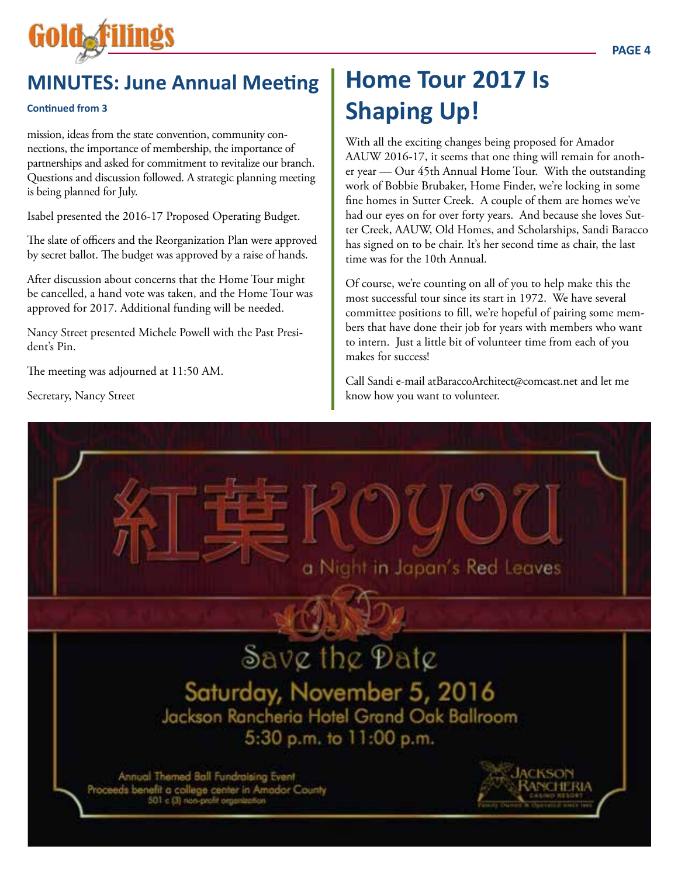

#### **Continued from 3**

mission, ideas from the state convention, community connections, the importance of membership, the importance of partnerships and asked for commitment to revitalize our branch. Questions and discussion followed. A strategic planning meeting is being planned for July.

Isabel presented the 2016-17 Proposed Operating Budget.

The slate of officers and the Reorganization Plan were approved by secret ballot. The budget was approved by a raise of hands.

After discussion about concerns that the Home Tour might be cancelled, a hand vote was taken, and the Home Tour was approved for 2017. Additional funding will be needed.

Nancy Street presented Michele Powell with the Past President's Pin.

The meeting was adjourned at 11:50 AM.

Secretary, Nancy Street

## **Home Tour 2017 Is Shaping Up!**

With all the exciting changes being proposed for Amador AAUW 2016-17, it seems that one thing will remain for another year — Our 45th Annual Home Tour. With the outstanding work of Bobbie Brubaker, Home Finder, we're locking in some fine homes in Sutter Creek. A couple of them are homes we've had our eyes on for over forty years. And because she loves Sutter Creek, AAUW, Old Homes, and Scholarships, Sandi Baracco has signed on to be chair. It's her second time as chair, the last time was for the 10th Annual.

Of course, we're counting on all of you to help make this the most successful tour since its start in 1972. We have several committee positions to fill, we're hopeful of pairing some members that have done their job for years with members who want to intern. Just a little bit of volunteer time from each of you makes for success!

Call Sandi e-mail atBaraccoArchitect@comcast.net and let me know how you want to volunteer.

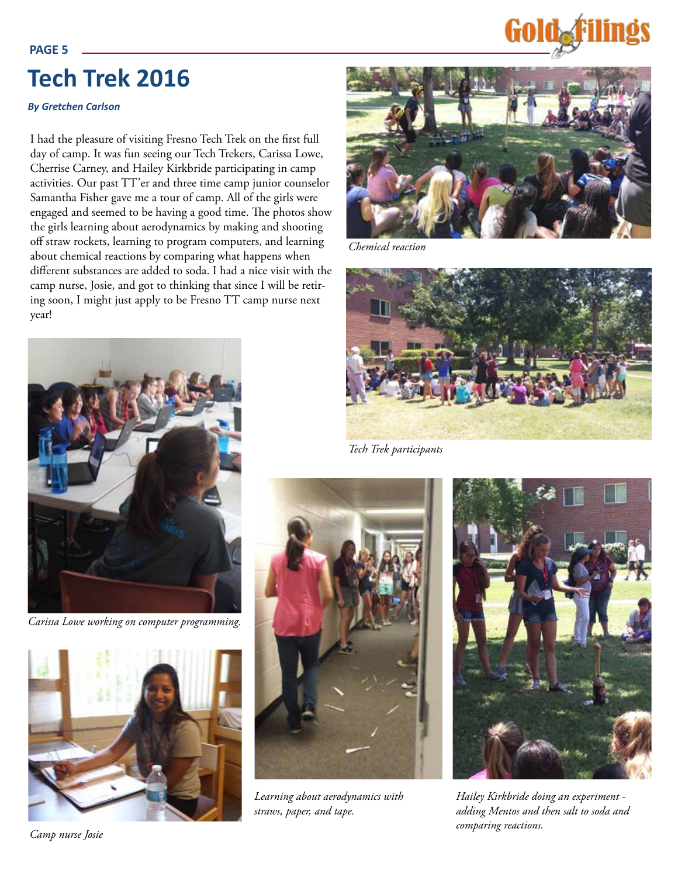## **Tech Trek 2016**

#### *By Gretchen Carlson*

I had the pleasure of visiting Fresno Tech Trek on the first full day of camp. It was fun seeing our Tech Trekers, Carissa Lowe, Cherrise Carney, and Hailey Kirkbride participating in camp activities. Our past TT'er and three time camp junior counselor Samantha Fisher gave me a tour of camp. All of the girls were engaged and seemed to be having a good time. The photos show the girls learning about aerodynamics by making and shooting off straw rockets, learning to program computers, and learning about chemical reactions by comparing what happens when different substances are added to soda. I had a nice visit with the camp nurse, Josie, and got to thinking that since I will be retiring soon, I might just apply to be Fresno TT camp nurse next year!



*Chemical reaction*



*Tech Trek participants*



*Learning about aerodynamics with straws, paper, and tape.* 



*Hailey Kirkbride doing an experiment adding Mentos and then salt to soda and comparing reactions.* 



*Carissa Lowe working on computer programming.*



**PAGE 5**

#### *Camp nurse Josie*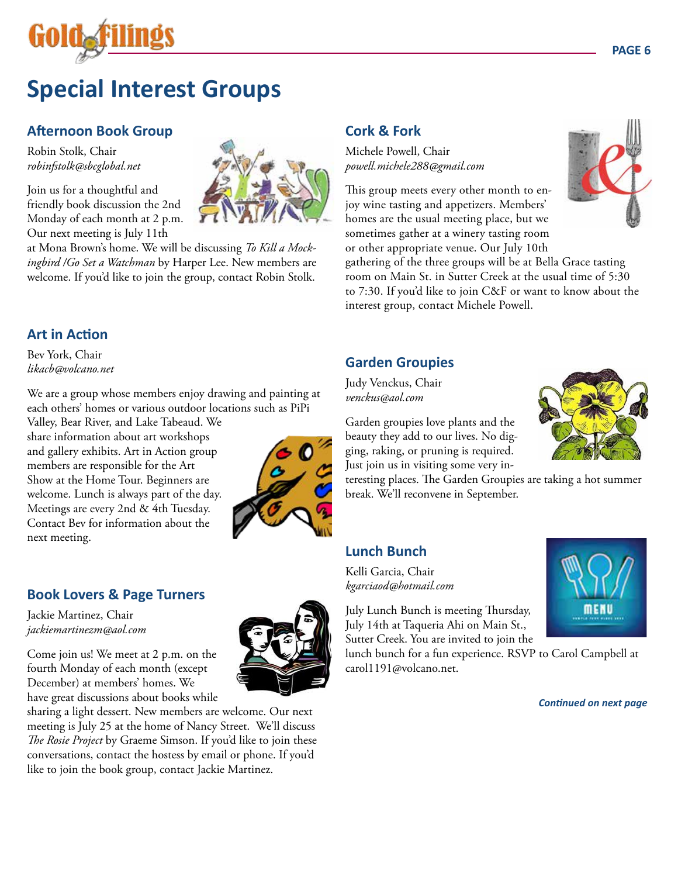

## **Special Interest Groups**

#### **Afternoon Book Group**

Robin Stolk, Chair *robinfstolk@sbcglobal.net*

Join us for a thoughtful and friendly book discussion the 2nd Monday of each month at 2 p.m. Our next meeting is July 11th

at Mona Brown's home. We will be discussing *To Kill a Mockingbird /Go Set a Watchman* by Harper Lee. New members are welcome. If you'd like to join the group, contact Robin Stolk.

### **Cork & Fork**

Michele Powell, Chair *powell.michele288@gmail.com*

This group meets every other month to enjoy wine tasting and appetizers. Members' homes are the usual meeting place, but we sometimes gather at a winery tasting room or other appropriate venue. Our July 10th

gathering of the three groups will be at Bella Grace tasting room on Main St. in Sutter Creek at the usual time of 5:30 to 7:30. If you'd like to join C&F or want to know about the interest group, contact Michele Powell.

#### **Art in Action**

Bev York, Chair *likacb@volcano.net*

We are a group whose members enjoy drawing and painting at each others' homes or various outdoor locations such as PiPi

Valley, Bear River, and Lake Tabeaud. We share information about art workshops and gallery exhibits. Art in Action group members are responsible for the Art Show at the Home Tour. Beginners are welcome. Lunch is always part of the day. Meetings are every 2nd & 4th Tuesday. Contact Bev for information about the next meeting.



#### **Book Lovers & Page Turners**

Jackie Martinez, Chair *jackiemartinezm@aol.com*

Come join us! We meet at 2 p.m. on the fourth Monday of each month (except December) at members' homes. We have great discussions about books while

sharing a light dessert. New members are welcome. Our next meeting is July 25 at the home of Nancy Street. We'll discuss *The Rosie Project* by Graeme Simson. If you'd like to join these conversations, contact the hostess by email or phone. If you'd like to join the book group, contact Jackie Martinez.

**Garden Groupies** Judy Venckus, Chair *venckus@aol.com*

Garden groupies love plants and the beauty they add to our lives. No digging, raking, or pruning is required. Just join us in visiting some very in-

break. We'll reconvene in September.

#### **Lunch Bunch**

Kelli Garcia, Chair *kgarciaod@hotmail.com* 

July Lunch Bunch is meeting Thursday, July 14th at Taqueria Ahi on Main St., Sutter Creek. You are invited to join the

lunch bunch for a fun experience. RSVP to Carol Campbell at carol1191@volcano.net.

teresting places. The Garden Groupies are taking a hot summer

*Continued on next page*

menu